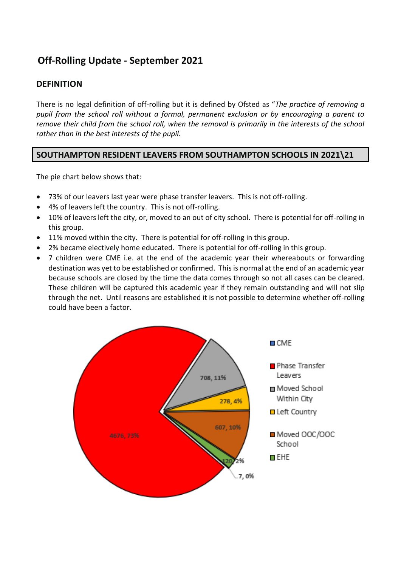# **Off-Rolling Update - September 2021**

### **DEFINITION**

There is no legal definition of off-rolling but it is defined by Ofsted as "*The practice of removing a pupil from the school roll without a formal, permanent exclusion or by encouraging a parent to remove their child from the school roll, when the removal is primarily in the interests of the school rather than in the best interests of the pupil.* 

#### **SOUTHAMPTON RESIDENT LEAVERS FROM SOUTHAMPTON SCHOOLS IN 2021\21**

The pie chart below shows that:

- 73% of our leavers last year were phase transfer leavers. This is not off-rolling.
- 4% of leavers left the country. This is not off-rolling.
- 10% of leavers left the city, or, moved to an out of city school. There is potential for off-rolling in this group.
- 11% moved within the city. There is potential for off-rolling in this group.
- 2% became electively home educated. There is potential for off-rolling in this group.
- 7 children were CME i.e. at the end of the academic year their whereabouts or forwarding destination was yet to be established or confirmed. This is normal at the end of an academic year because schools are closed by the time the data comes through so not all cases can be cleared. These children will be captured this academic year if they remain outstanding and will not slip through the net. Until reasons are established it is not possible to determine whether off-rolling could have been a factor.

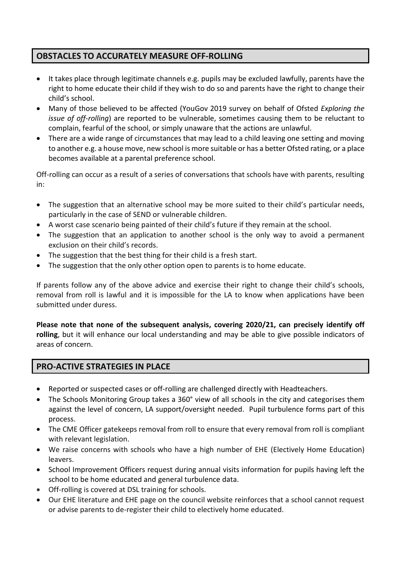## **OBSTACLES TO ACCURATELY MEASURE OFF-ROLLING**

- It takes place through legitimate channels e.g. pupils may be excluded lawfully, parents have the right to home educate their child if they wish to do so and parents have the right to change their child's school.
- Many of those believed to be affected (YouGov 2019 survey on behalf of Ofsted *Exploring the issue of off-rolling*) are reported to be vulnerable, sometimes causing them to be reluctant to complain, fearful of the school, or simply unaware that the actions are unlawful.
- There are a wide range of circumstances that may lead to a child leaving one setting and moving to another e.g. a house move, new school is more suitable or has a better Ofsted rating, or a place becomes available at a parental preference school.

Off-rolling can occur as a result of a series of conversations that schools have with parents, resulting in:

- The suggestion that an alternative school may be more suited to their child's particular needs, particularly in the case of SEND or vulnerable children.
- A worst case scenario being painted of their child's future if they remain at the school.
- The suggestion that an application to another school is the only way to avoid a permanent exclusion on their child's records.
- The suggestion that the best thing for their child is a fresh start.
- The suggestion that the only other option open to parents is to home educate.

If parents follow any of the above advice and exercise their right to change their child's schools, removal from roll is lawful and it is impossible for the LA to know when applications have been submitted under duress.

**Please note that none of the subsequent analysis, covering 2020/21, can precisely identify off rolling**, but it will enhance our local understanding and may be able to give possible indicators of areas of concern.

#### **PRO-ACTIVE STRATEGIES IN PLACE**

- Reported or suspected cases or off-rolling are challenged directly with Headteachers.
- The Schools Monitoring Group takes a 360° view of all schools in the city and categorises them against the level of concern, LA support/oversight needed. Pupil turbulence forms part of this process.
- The CME Officer gatekeeps removal from roll to ensure that every removal from roll is compliant with relevant legislation.
- We raise concerns with schools who have a high number of EHE (Electively Home Education) leavers.
- School Improvement Officers request during annual visits information for pupils having left the school to be home educated and general turbulence data.
- Off-rolling is covered at DSL training for schools.
- Our EHE literature and EHE page on the council website reinforces that a school cannot request or advise parents to de-register their child to electively home educated.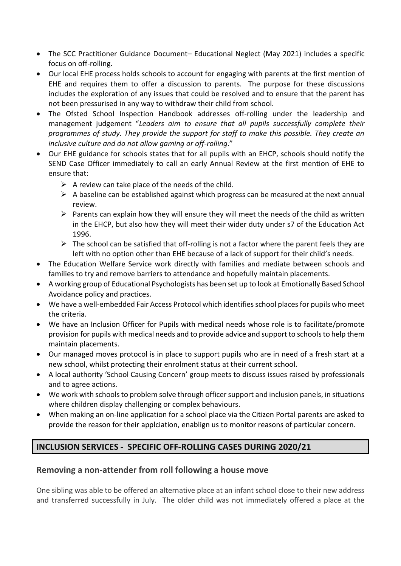- The SCC Practitioner Guidance Document– Educational Neglect (May 2021) includes a specific focus on off-rolling.
- Our local EHE process holds schools to account for engaging with parents at the first mention of EHE and requires them to offer a discussion to parents. The purpose for these discussions includes the exploration of any issues that could be resolved and to ensure that the parent has not been pressurised in any way to withdraw their child from school.
- The Ofsted School Inspection Handbook addresses off-rolling under the leadership and management judgement "*Leaders aim to ensure that all pupils successfully complete their programmes of study. They provide the support for staff to make this possible. They create an inclusive culture and do not allow gaming or off-rolling*."
- Our EHE guidance for schools states that for all pupils with an EHCP, schools should notify the SEND Case Officer immediately to call an early Annual Review at the first mention of EHE to ensure that:
	- $\triangleright$  A review can take place of the needs of the child.
	- $\triangleright$  A baseline can be established against which progress can be measured at the next annual review.
	- $\triangleright$  Parents can explain how they will ensure they will meet the needs of the child as written in the EHCP, but also how they will meet their wider duty under s7 of the Education Act 1996.
	- $\triangleright$  The school can be satisfied that off-rolling is not a factor where the parent feels they are left with no option other than EHE because of a lack of support for their child's needs.
- The Education Welfare Service work directly with families and mediate between schools and families to try and remove barriers to attendance and hopefully maintain placements.
- A working group of Educational Psychologists has been set up to look at Emotionally Based School Avoidance policy and practices.
- We have a well-embedded Fair Access Protocol which identifies school places for pupils who meet the criteria.
- We have an Inclusion Officer for Pupils with medical needs whose role is to facilitate/promote provision for pupils with medical needs and to provide advice and support to schoolsto help them maintain placements.
- Our managed moves protocol is in place to support pupils who are in need of a fresh start at a new school, whilst protecting their enrolment status at their current school.
- A local authority 'School Causing Concern' group meets to discuss issues raised by professionals and to agree actions.
- We work with schools to problem solve through officer support and inclusion panels, in situations where children display challenging or complex behaviours.
- When making an on-line application for a school place via the Citizen Portal parents are asked to provide the reason for their applciation, enablign us to monitor reasons of particular concern.

## **INCLUSION SERVICES - SPECIFIC OFF-ROLLING CASES DURING 2020/21**

#### **Removing a non-attender from roll following a house move**

One sibling was able to be offered an alternative place at an infant school close to their new address and transferred successfully in July. The older child was not immediately offered a place at the